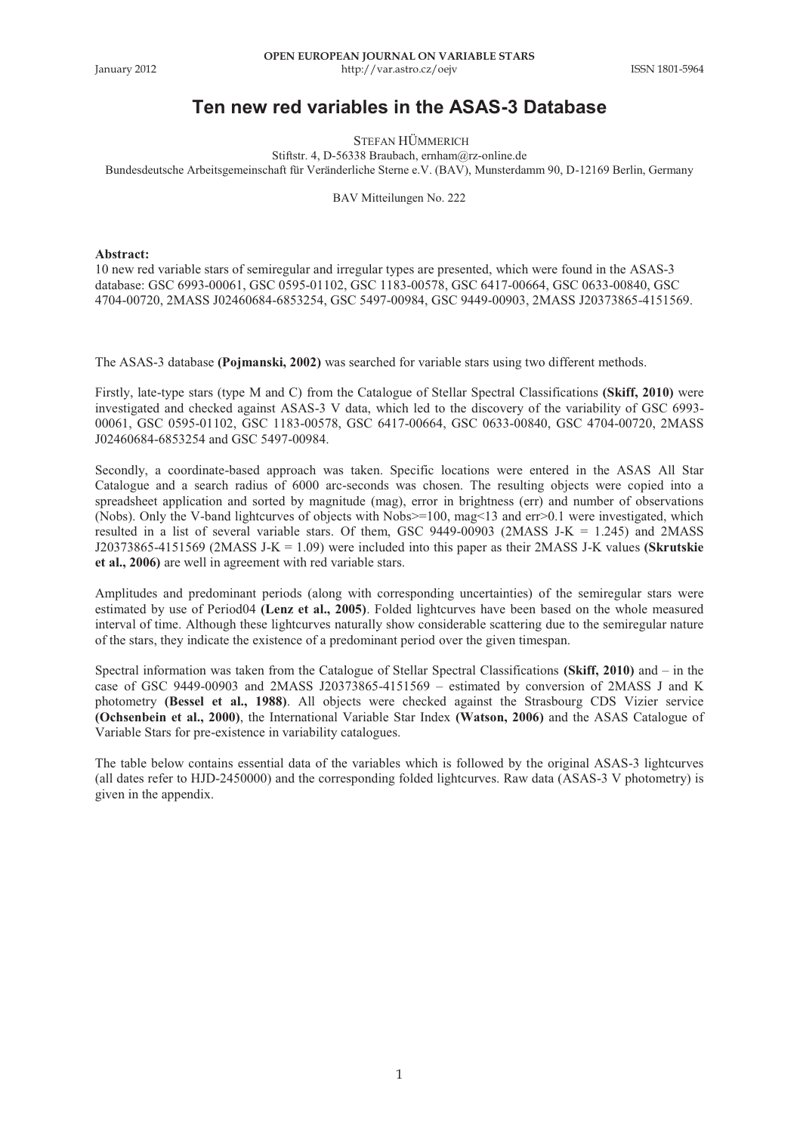## **Ten new red variables in the ASAS-3 Database**

STEFAN HÜMMERICH

Stiftstr. 4, D-56338 Braubach, ernham@rz-online.de

Bundesdeutsche Arbeitsgemeinschaft für Veränderliche Sterne e.V. (BAV), Munsterdamm 90, D-12169 Berlin, Germany

BAV Mitteilungen No. 222

## **Abstract:**

10 new red variable stars of semiregular and irregular types are presented, which were found in the ASAS-3 database: GSC 6993-00061, GSC 0595-01102, GSC 1183-00578, GSC 6417-00664, GSC 0633-00840, GSC 4704-00720, 2MASS J02460684-6853254, GSC 5497-00984, GSC 9449-00903, 2MASS J20373865-4151569.

The ASAS-3 database **(Pojmanski, 2002)** was searched for variable stars using two different methods.

Firstly, late-type stars (type M and C) from the Catalogue of Stellar Spectral Classifications **(Skiff, 2010)** were investigated and checked against ASAS-3 V data, which led to the discovery of the variability of GSC 6993- 00061, GSC 0595-01102, GSC 1183-00578, GSC 6417-00664, GSC 0633-00840, GSC 4704-00720, 2MASS J02460684-6853254 and GSC 5497-00984.

Secondly, a coordinate-based approach was taken. Specific locations were entered in the ASAS All Star Catalogue and a search radius of 6000 arc-seconds was chosen. The resulting objects were copied into a spreadsheet application and sorted by magnitude (mag), error in brightness (err) and number of observations (Nobs). Only the V-band lightcurves of objects with Nobs>=100, mag<13 and err>0.1 were investigated, which resulted in a list of several variable stars. Of them, GSC 9449-00903 (2MASS J-K = 1.245) and 2MASS J20373865-4151569 (2MASS J-K = 1.09) were included into this paper as their 2MASS J-K values **(Skrutskie et al., 2006)** are well in agreement with red variable stars.

Amplitudes and predominant periods (along with corresponding uncertainties) of the semiregular stars were estimated by use of Period04 **(Lenz et al., 2005)**. Folded lightcurves have been based on the whole measured interval of time. Although these lightcurves naturally show considerable scattering due to the semiregular nature of the stars, they indicate the existence of a predominant period over the given timespan.

Spectral information was taken from the Catalogue of Stellar Spectral Classifications **(Skiff, 2010)** and – in the case of GSC 9449-00903 and 2MASS J20373865-4151569 – estimated by conversion of 2MASS J and K photometry **(Bessel et al., 1988)**. All objects were checked against the Strasbourg CDS Vizier service **(Ochsenbein et al., 2000)**, the International Variable Star Index **(Watson, 2006)** and the ASAS Catalogue of Variable Stars for pre-existence in variability catalogues.

The table below contains essential data of the variables which is followed by the original ASAS-3 lightcurves (all dates refer to HJD-2450000) and the corresponding folded lightcurves. Raw data (ASAS-3 V photometry) is given in the appendix.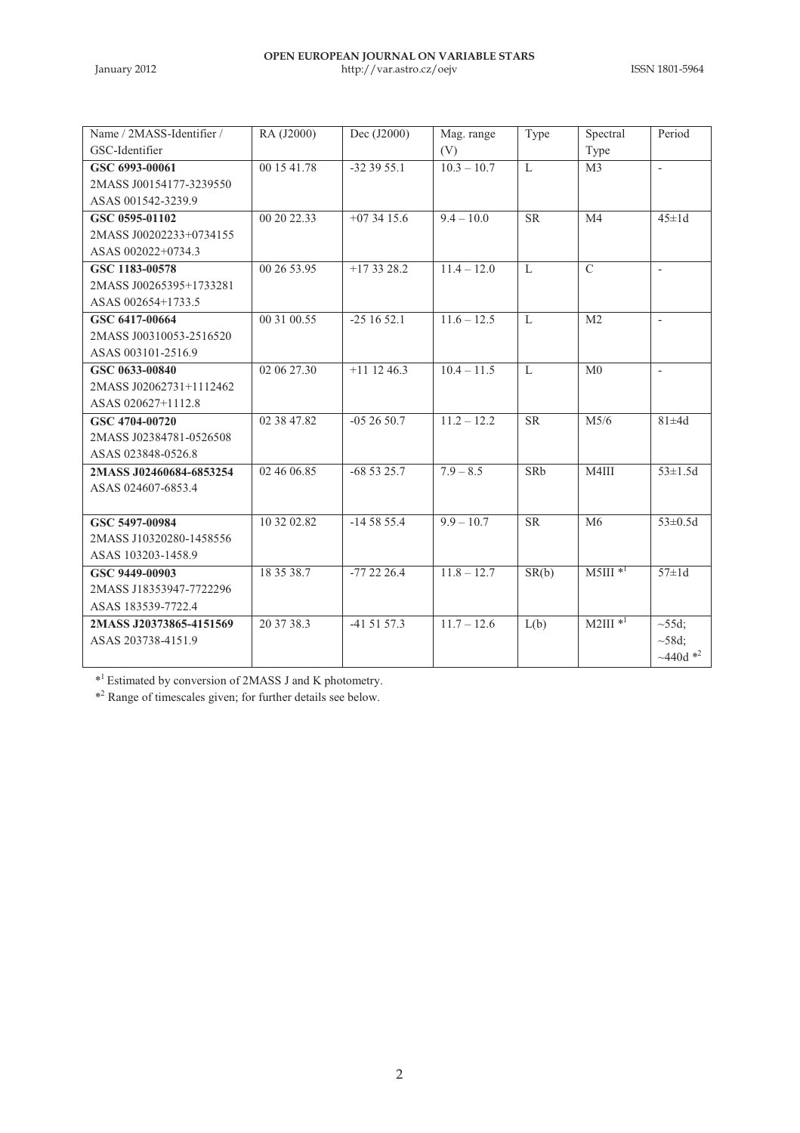| Name / 2MASS-Identifier / | RA (J2000)  | Dec (J2000)   | Mag. range    | Type         | Spectral              | Period                  |
|---------------------------|-------------|---------------|---------------|--------------|-----------------------|-------------------------|
| GSC-Identifier            |             |               | (V)           |              | Type                  |                         |
| GSC 6993-00061            | 00 15 41.78 | $-323955.1$   | $10.3 - 10.7$ | L            | M <sub>3</sub>        |                         |
| 2MASS J00154177-3239550   |             |               |               |              |                       |                         |
| ASAS 001542-3239.9        |             |               |               |              |                       |                         |
| GSC 0595-01102            | 00 20 22.33 | $+073415.6$   | $9.4 - 10.0$  | <b>SR</b>    | M <sub>4</sub>        | $45 \pm 1d$             |
| 2MASS J00202233+0734155   |             |               |               |              |                       |                         |
| ASAS 002022+0734.3        |             |               |               |              |                       |                         |
| GSC 1183-00578            | 00 26 53.95 | $+173328.2$   | $11.4 - 12.0$ | $\mathbf{L}$ | $\mathcal{C}$         | ٠                       |
| 2MASS J00265395+1733281   |             |               |               |              |                       |                         |
| ASAS 002654+1733.5        |             |               |               |              |                       |                         |
| GSC 6417-00664            | 00 31 00.55 | $-251652.1$   | $11.6 - 12.5$ | $\mathbf{L}$ | M <sub>2</sub>        | $\overline{a}$          |
| 2MASS J00310053-2516520   |             |               |               |              |                       |                         |
| ASAS 003101-2516.9        |             |               |               |              |                       |                         |
| GSC 0633-00840            | 02 06 27.30 | $+11$ 12 46.3 | $10.4 - 11.5$ | L            | M <sub>0</sub>        | ٠                       |
| 2MASS J02062731+1112462   |             |               |               |              |                       |                         |
| ASAS 020627+1112.8        |             |               |               |              |                       |                         |
| GSC 4704-00720            | 02 38 47.82 | $-052650.7$   | $11.2 - 12.2$ | <b>SR</b>    | M <sub>5/6</sub>      | $81 \pm 4d$             |
| 2MASS J02384781-0526508   |             |               |               |              |                       |                         |
| ASAS 023848-0526.8        |             |               |               |              |                       |                         |
| 2MASS J02460684-6853254   | 02 46 06.85 | $-685325.7$   | $7.9 - 8.5$   | SRb          | M4III                 | $53 \pm 1.5d$           |
| ASAS 024607-6853.4        |             |               |               |              |                       |                         |
|                           |             |               |               |              |                       |                         |
| GSC 5497-00984            | 10 32 02.82 | $-145855.4$   | $9.9 - 10.7$  | <b>SR</b>    | M6                    | $53 \pm 0.5d$           |
| 2MASS J10320280-1458556   |             |               |               |              |                       |                         |
| ASAS 103203-1458.9        |             |               |               |              |                       |                         |
| GSC 9449-00903            | 18 35 38.7  | $-772226.4$   | $11.8 - 12.7$ | SR(b)        | $M5III$ <sup>*1</sup> | $57 \pm 1d$             |
| 2MASS J18353947-7722296   |             |               |               |              |                       |                         |
| ASAS 183539-7722.4        |             |               |               |              |                       |                         |
| 2MASS J20373865-4151569   | 20 37 38.3  | $-415157.3$   | $11.7 - 12.6$ | L(b)         | $M2III$ <sup>*1</sup> | $\sim$ 55d;             |
| ASAS 203738-4151.9        |             |               |               |              |                       | $~58d$ ;                |
|                           |             |               |               |              |                       | $~1440d$ * <sup>2</sup> |

\* <sup>1</sup>Estimated by conversion of 2MASS J and K photometry.

\* 2 Range of timescales given; for further details see below.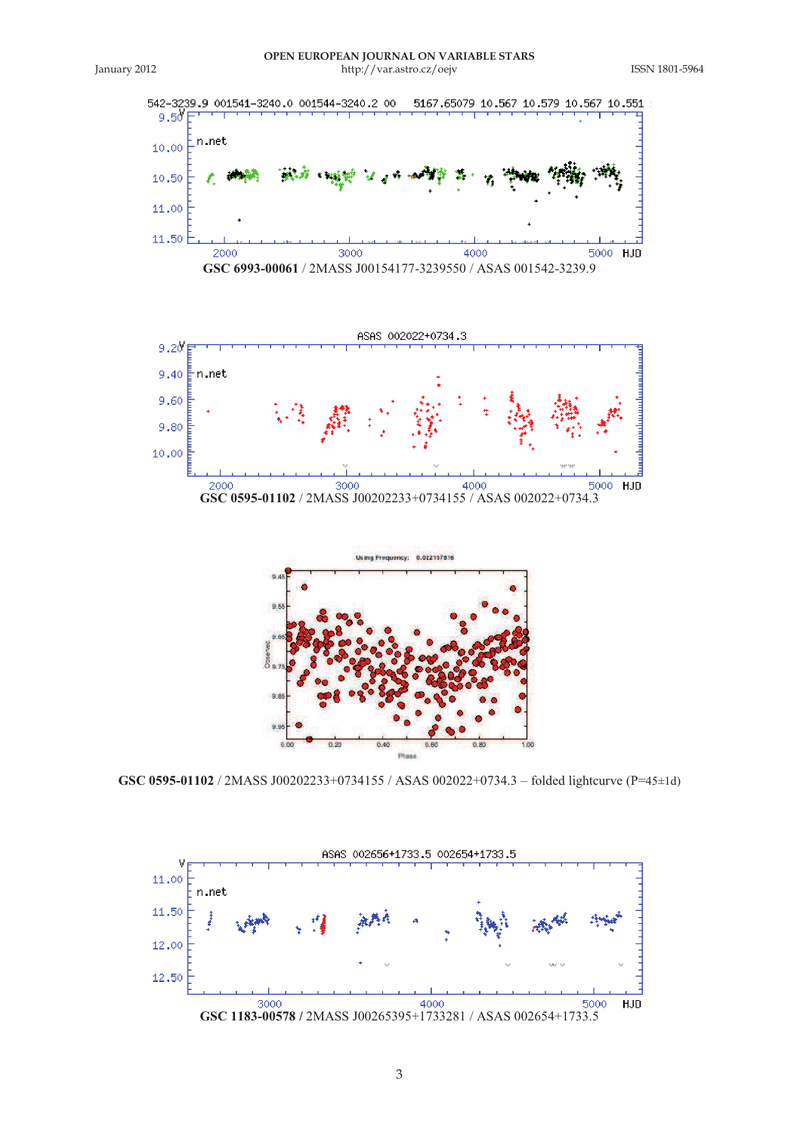







**GSC 0595-01102** / 2MASS J00202233+0734155 / ASAS 002022+0734.3 – folded lightcurve (P=45±1d)

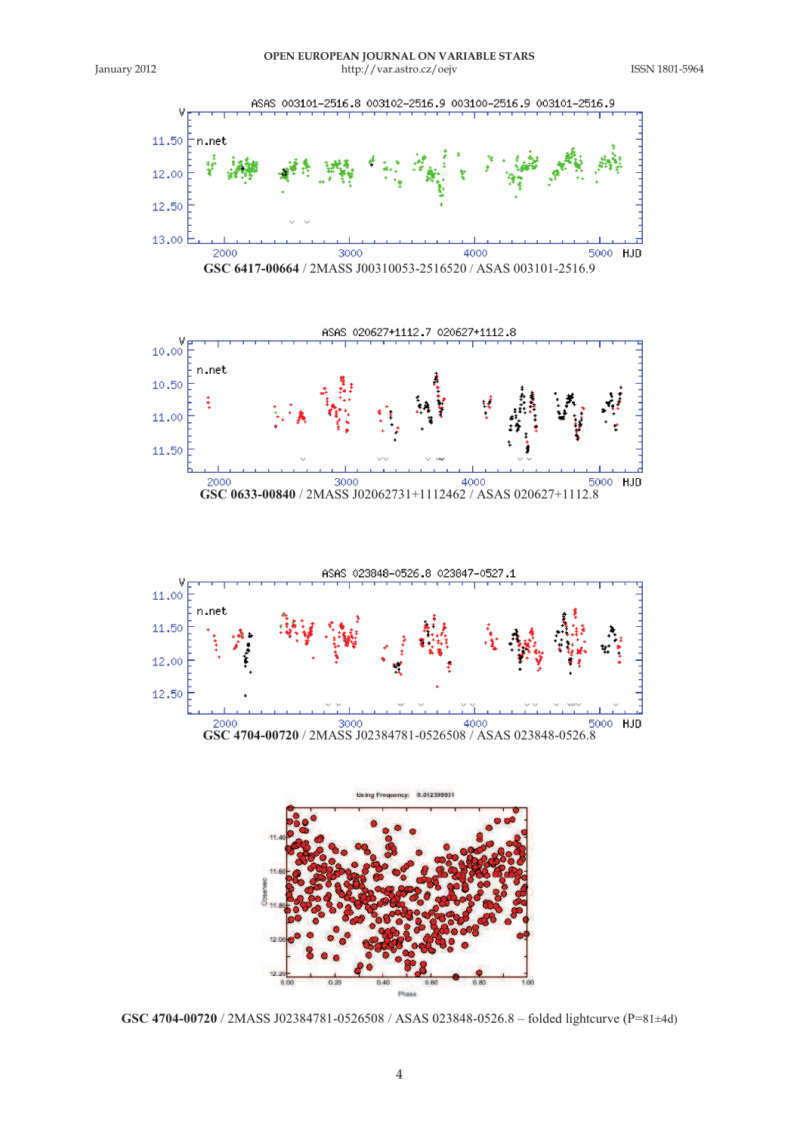

**GSC 4704-00720** / 2MASS J02384781-0526508 / ASAS 023848-0526.8 – folded lightcurve (P=81±4d)

4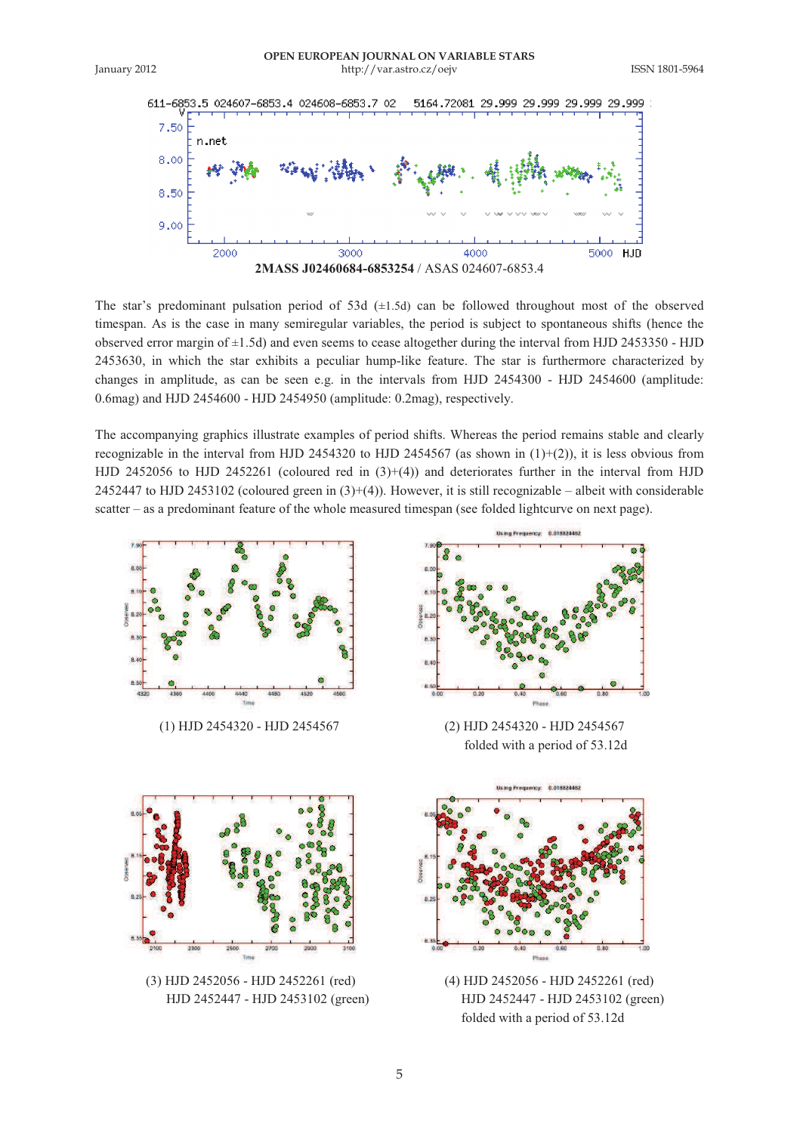



The star's predominant pulsation period of 53d  $(\pm 1.5d)$  can be followed throughout most of the observed timespan. As is the case in many semiregular variables, the period is subject to spontaneous shifts (hence the observed error margin of ±1.5d) and even seems to cease altogether during the interval from HJD 2453350 - HJD 2453630, in which the star exhibits a peculiar hump-like feature. The star is furthermore characterized by changes in amplitude, as can be seen e.g. in the intervals from HJD 2454300 - HJD 2454600 (amplitude: 0.6mag) and HJD 2454600 - HJD 2454950 (amplitude: 0.2mag), respectively.

The accompanying graphics illustrate examples of period shifts. Whereas the period remains stable and clearly recognizable in the interval from HJD 2454320 to HJD 2454567 (as shown in  $(1)+(2)$ ), it is less obvious from HJD 2452056 to HJD 2452261 (coloured red in  $(3)+(4)$ ) and deteriorates further in the interval from HJD 2452447 to HJD 2453102 (coloured green in  $(3)+(4)$ ). However, it is still recognizable – albeit with considerable scatter – as a predominant feature of the whole measured timespan (see folded lightcurve on next page).



(1) HJD 2454320 - HJD 2454567 (2) HJD 2454320 - HJD 2454567



folded with a period of 53.12d



 HJD 2452447 - HJD 2453102 (green) HJD 2452447 - HJD 2453102 (green) folded with a period of 53.12d



(3) HJD 2452056 - HJD 2452261 (red) (4) HJD 2452056 - HJD 2452261 (red)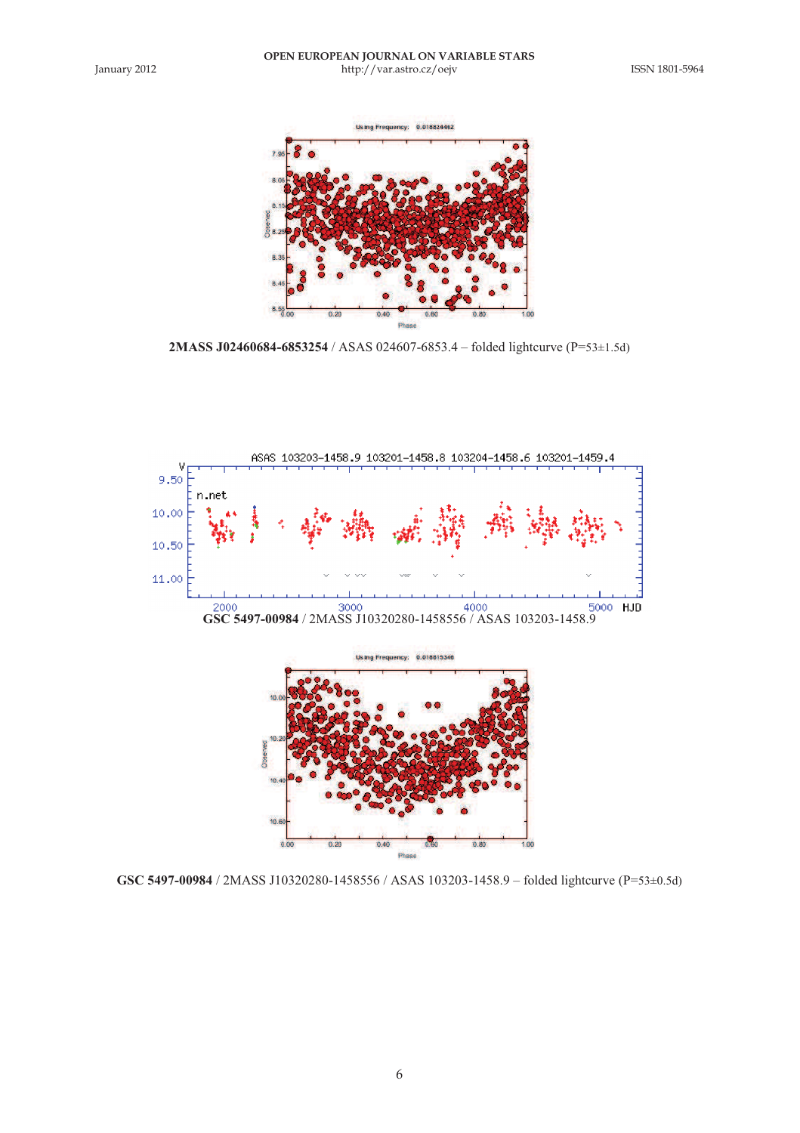

**2MASS J02460684-6853254** / ASAS 024607-6853.4 – folded lightcurve (P=53±1.5d)



**GSC 5497-00984** / 2MASS J10320280-1458556 / ASAS 103203-1458.9 – folded lightcurve (P=53±0.5d)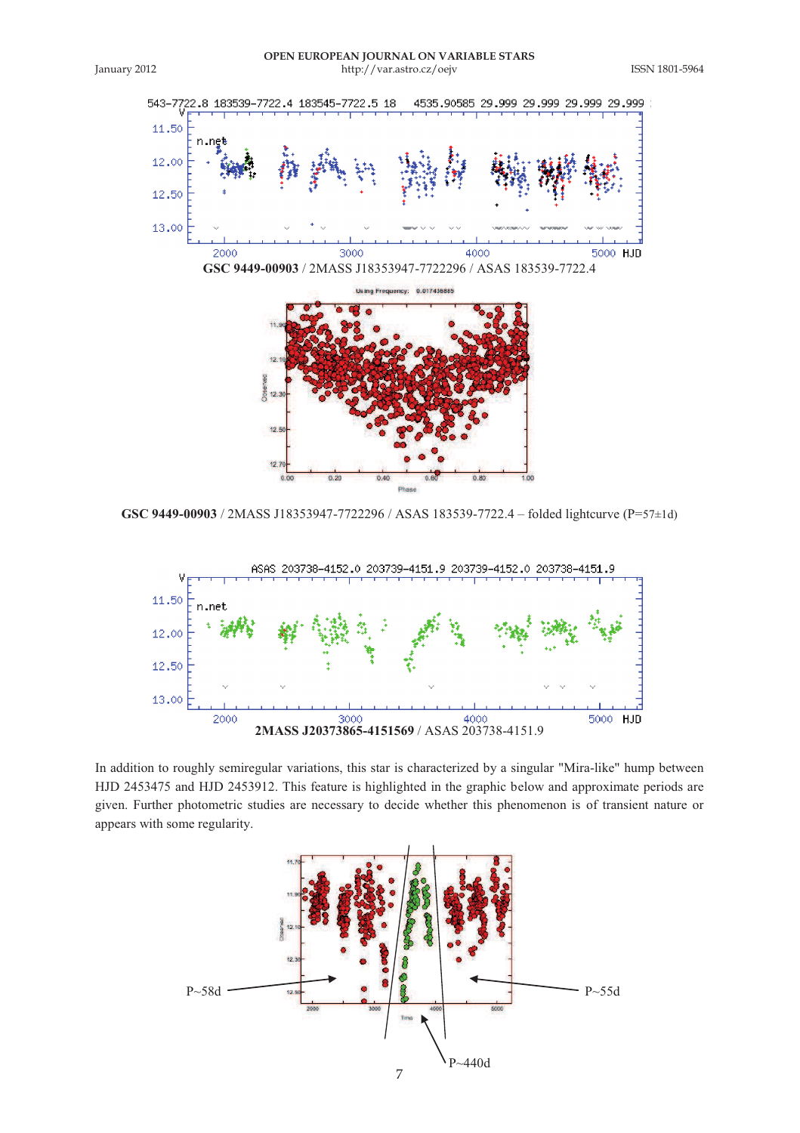



**GSC 9449-00903** / 2MASS J18353947-7722296 / ASAS 183539-7722.4 – folded lightcurve (P=57±1d)



In addition to roughly semiregular variations, this star is characterized by a singular "Mira-like" hump between HJD 2453475 and HJD 2453912. This feature is highlighted in the graphic below and approximate periods are given. Further photometric studies are necessary to decide whether this phenomenon is of transient nature or appears with some regularity.